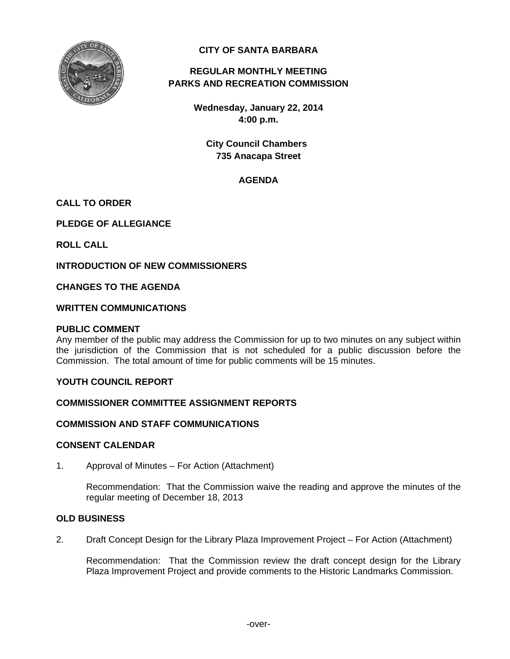

# **CITY OF SANTA BARBARA**

# **REGULAR MONTHLY MEETING PARKS AND RECREATION COMMISSION**

**Wednesday, January 22, 2014 4:00 p.m.** 

**City Council Chambers 735 Anacapa Street** 

# **AGENDA**

# **CALL TO ORDER**

**PLEDGE OF ALLEGIANCE** 

**ROLL CALL** 

**INTRODUCTION OF NEW COMMISSIONERS** 

**CHANGES TO THE AGENDA** 

### **WRITTEN COMMUNICATIONS**

#### **PUBLIC COMMENT**

Any member of the public may address the Commission for up to two minutes on any subject within the jurisdiction of the Commission that is not scheduled for a public discussion before the Commission. The total amount of time for public comments will be 15 minutes.

### **YOUTH COUNCIL REPORT**

## **COMMISSIONER COMMITTEE ASSIGNMENT REPORTS**

#### **COMMISSION AND STAFF COMMUNICATIONS**

#### **CONSENT CALENDAR**

1. Approval of Minutes – For Action (Attachment)

 Recommendation: That the Commission waive the reading and approve the minutes of the regular meeting of December 18, 2013

#### **OLD BUSINESS**

2. Draft Concept Design for the Library Plaza Improvement Project – For Action (Attachment)

 Recommendation: That the Commission review the draft concept design for the Library Plaza Improvement Project and provide comments to the Historic Landmarks Commission.